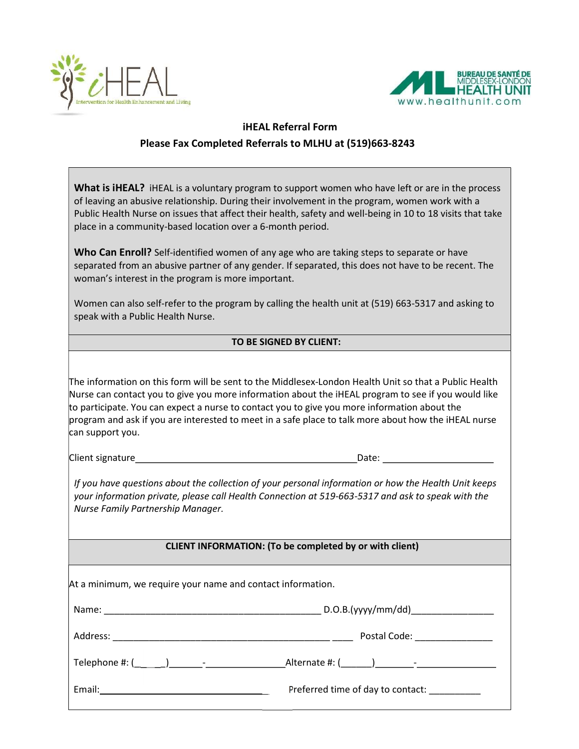



 $\overline{\phantom{a}}$ 

## iHEAL Referral Form Please Fax Completed Referrals to MLHU at (519)663-8243

| <b>What is iHEAL?</b> iHEAL is a voluntary program to support women who have left or are in the process<br>of leaving an abusive relationship. During their involvement in the program, women work with a<br>Public Health Nurse on issues that affect their health, safety and well-being in 10 to 18 visits that take<br>place in a community-based location over a 6-month period.                                                    |                                              |
|------------------------------------------------------------------------------------------------------------------------------------------------------------------------------------------------------------------------------------------------------------------------------------------------------------------------------------------------------------------------------------------------------------------------------------------|----------------------------------------------|
| Who Can Enroll? Self-identified women of any age who are taking steps to separate or have<br>separated from an abusive partner of any gender. If separated, this does not have to be recent. The<br>woman's interest in the program is more important.                                                                                                                                                                                   |                                              |
| Women can also self-refer to the program by calling the health unit at (519) 663-5317 and asking to<br>speak with a Public Health Nurse.                                                                                                                                                                                                                                                                                                 |                                              |
| TO BE SIGNED BY CLIENT:                                                                                                                                                                                                                                                                                                                                                                                                                  |                                              |
|                                                                                                                                                                                                                                                                                                                                                                                                                                          |                                              |
| The information on this form will be sent to the Middlesex-London Health Unit so that a Public Health<br>Nurse can contact you to give you more information about the iHEAL program to see if you would like<br>to participate. You can expect a nurse to contact you to give you more information about the<br>program and ask if you are interested to meet in a safe place to talk more about how the iHEAL nurse<br>can support you. |                                              |
| Client signature expansion of the contract of the contract of the contract of the contract of the contract of                                                                                                                                                                                                                                                                                                                            | Date: Date:                                  |
| If you have questions about the collection of your personal information or how the Health Unit keeps<br>your information private, please call Health Connection at 519-663-5317 and ask to speak with the<br>Nurse Family Partnership Manager.                                                                                                                                                                                           |                                              |
| <b>CLIENT INFORMATION: (To be completed by or with client)</b>                                                                                                                                                                                                                                                                                                                                                                           |                                              |
| At a minimum, we require your name and contact information.                                                                                                                                                                                                                                                                                                                                                                              |                                              |
|                                                                                                                                                                                                                                                                                                                                                                                                                                          |                                              |
|                                                                                                                                                                                                                                                                                                                                                                                                                                          |                                              |
|                                                                                                                                                                                                                                                                                                                                                                                                                                          |                                              |
|                                                                                                                                                                                                                                                                                                                                                                                                                                          | Preferred time of day to contact: __________ |